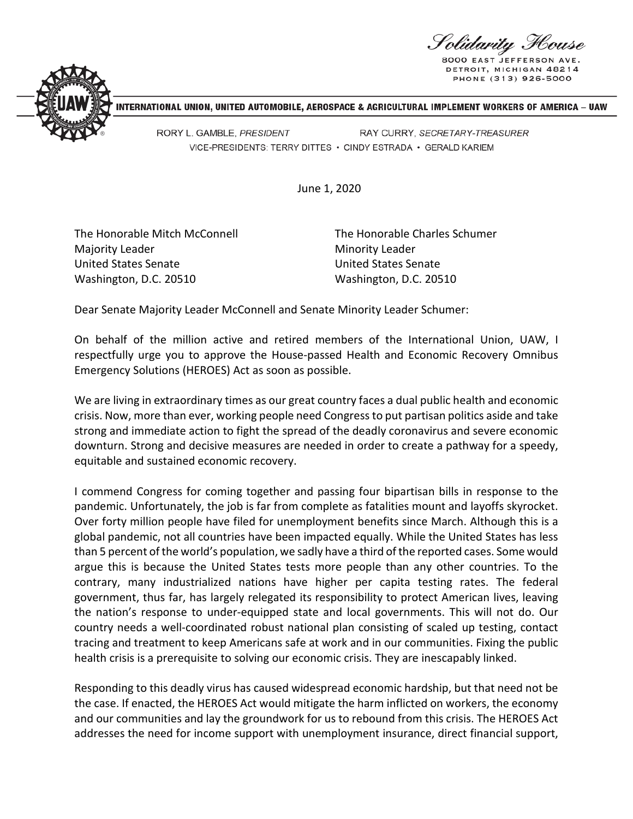S olidarity F

**DETROIT, MICHIGAN 48214** PHONE (313) 926-5000



NTERNATIONAL UNION, UNITED AUTOMOBILE, AEROSPACE & AGRICULTURAL IMPLEMENT WORKERS OF AMERICA - UAW

RORY L. GAMBLE, PRESIDENT RAY CURRY, SECRETARY-TREASURER VICE-PRESIDENTS: TERRY DITTES . CINDY ESTRADA . GERALD KARIEM

June 1, 2020

The Honorable Mitch McConnell Majority Leader United States Senate Washington, D.C. 20510

The Honorable Charles Schumer Minority Leader United States Senate Washington, D.C. 20510

Dear Senate Majority Leader McConnell and Senate Minority Leader Schumer:

On behalf of the million active and retired members of the International Union, UAW, I respectfully urge you to approve the House-passed Health and Economic Recovery Omnibus Emergency Solutions (HEROES) Act as soon as possible.

We are living in extraordinary times as our great country faces a dual public health and economic crisis. Now, more than ever, working people need Congress to put partisan politics aside and take strong and immediate action to fight the spread of the deadly coronavirus and severe economic downturn. Strong and decisive measures are needed in order to create a pathway for a speedy, equitable and sustained economic recovery.

I commend Congress for coming together and passing four bipartisan bills in response to the pandemic. Unfortunately, the job is far from complete as fatalities mount and layoffs skyrocket. Over forty million people have filed for unemployment benefits since March. Although this is a global pandemic, not all countries have been impacted equally. While the United States has less than 5 percent of the world's population, we sadly have a third of the reported cases. Some would argue this is because the United States tests more people than any other countries. To the contrary, many industrialized nations have higher per capita testing rates. The federal government, thus far, has largely relegated its responsibility to protect American lives, leaving the nation's response to under-equipped state and local governments. This will not do. Our country needs a well-coordinated robust national plan consisting of scaled up testing, contact tracing and treatment to keep Americans safe at work and in our communities. Fixing the public health crisis is a prerequisite to solving our economic crisis. They are inescapably linked.

Responding to this deadly virus has caused widespread economic hardship, but that need not be the case. If enacted, the HEROES Act would mitigate the harm inflicted on workers, the economy and our communities and lay the groundwork for us to rebound from this crisis. The HEROES Act addresses the need for income support with unemployment insurance, direct financial support,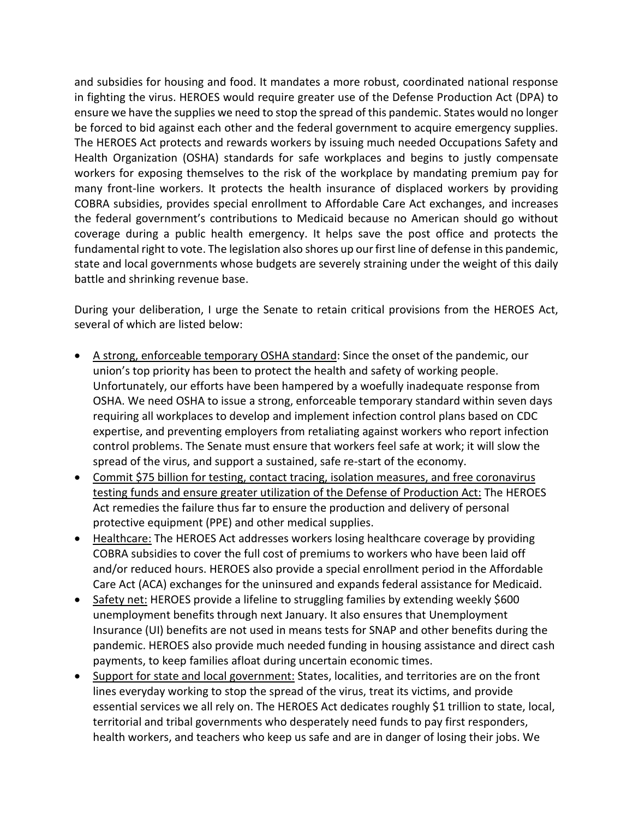and subsidies for housing and food. It mandates a more robust, coordinated national response in fighting the virus. HEROES would require greater use of the Defense Production Act (DPA) to ensure we have the supplies we need to stop the spread of this pandemic. States would no longer be forced to bid against each other and the federal government to acquire emergency supplies. The HEROES Act protects and rewards workers by issuing much needed Occupations Safety and Health Organization (OSHA) standards for safe workplaces and begins to justly compensate workers for exposing themselves to the risk of the workplace by mandating premium pay for many front-line workers. It protects the health insurance of displaced workers by providing COBRA subsidies, provides special enrollment to Affordable Care Act exchanges, and increases the federal government's contributions to Medicaid because no American should go without coverage during a public health emergency. It helps save the post office and protects the fundamental right to vote. The legislation also shores up our first line of defense in this pandemic, state and local governments whose budgets are severely straining under the weight of this daily battle and shrinking revenue base.

During your deliberation, I urge the Senate to retain critical provisions from the HEROES Act, several of which are listed below:

- A strong, enforceable temporary OSHA standard: Since the onset of the pandemic, our union's top priority has been to protect the health and safety of working people. Unfortunately, our efforts have been hampered by a woefully inadequate response from OSHA. We need OSHA to issue a strong, enforceable temporary standard within seven days requiring all workplaces to develop and implement infection control plans based on CDC expertise, and preventing employers from retaliating against workers who report infection control problems. The Senate must ensure that workers feel safe at work; it will slow the spread of the virus, and support a sustained, safe re-start of the economy.
- Commit \$75 billion for testing, contact tracing, isolation measures, and free coronavirus testing funds and ensure greater utilization of the Defense of Production Act: The HEROES Act remedies the failure thus far to ensure the production and delivery of personal protective equipment (PPE) and other medical supplies.
- Healthcare: The HEROES Act addresses workers losing healthcare coverage by providing COBRA subsidies to cover the full cost of premiums to workers who have been laid off and/or reduced hours. HEROES also provide a special enrollment period in the Affordable Care Act (ACA) exchanges for the uninsured and expands federal assistance for Medicaid.
- Safety net: HEROES provide a lifeline to struggling families by extending weekly \$600 unemployment benefits through next January. It also ensures that Unemployment Insurance (UI) benefits are not used in means tests for SNAP and other benefits during the pandemic. HEROES also provide much needed funding in housing assistance and direct cash payments, to keep families afloat during uncertain economic times.
- Support for state and local government: States, localities, and territories are on the front lines everyday working to stop the spread of the virus, treat its victims, and provide essential services we all rely on. The HEROES Act dedicates roughly \$1 trillion to state, local, territorial and tribal governments who desperately need funds to pay first responders, health workers, and teachers who keep us safe and are in danger of losing their jobs. We